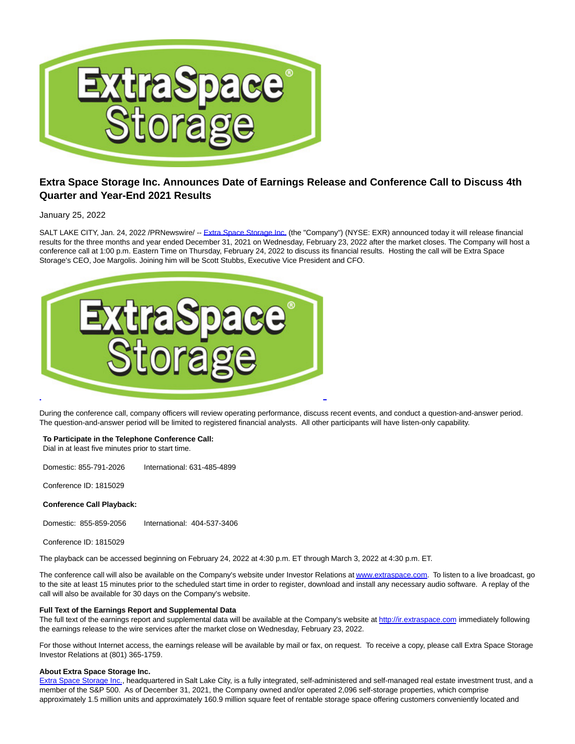

# **Extra Space Storage Inc. Announces Date of Earnings Release and Conference Call to Discuss 4th Quarter and Year-End 2021 Results**

January 25, 2022

SALT LAKE CITY, Jan. 24, 2022 /PRNewswire/ -- [Extra Space Storage Inc. \(](https://c212.net/c/link/?t=0&l=en&o=3422619-1&h=3169975074&u=http%3A%2F%2Fwww.extraspace.com%2F&a=Extra+Space+Storage+Inc.)the "Company") (NYSE: EXR) announced today it will release financial results for the three months and year ended December 31, 2021 on Wednesday, February 23, 2022 after the market closes. The Company will host a conference call at 1:00 p.m. Eastern Time on Thursday, February 24, 2022 to discuss its financial results. Hosting the call will be Extra Space Storage's CEO, Joe Margolis. Joining him will be Scott Stubbs, Executive Vice President and CFO.



During the conference call, company officers will review operating performance, discuss recent events, and conduct a question-and-answer period. The question-and-answer period will be limited to registered financial analysts. All other participants will have listen-only capability.

# **To Participate in the Telephone Conference Call:**

Dial in at least five minutes prior to start time.

Domestic: 855-791-2026 International: 631-485-4899

Conference ID: 1815029

## **Conference Call Playback:**

Domestic: 855-859-2056 International: 404-537-3406

Conference ID: 1815029

The playback can be accessed beginning on February 24, 2022 at 4:30 p.m. ET through March 3, 2022 at 4:30 p.m. ET.

The conference call will also be available on the Company's website under Investor Relations a[t www.extraspace.com.](https://c212.net/c/link/?t=0&l=en&o=3422619-1&h=2340626203&u=http%3A%2F%2Fir.extraspace.com%2F&a=www.extraspace.com) To listen to a live broadcast, go to the site at least 15 minutes prior to the scheduled start time in order to register, download and install any necessary audio software. A replay of the call will also be available for 30 days on the Company's website.

## **Full Text of the Earnings Report and Supplemental Data**

The full text of the earnings report and supplemental data will be available at the Company's website at [http://ir.extraspace.com i](https://c212.net/c/link/?t=0&l=en&o=3422619-1&h=307382499&u=http%3A%2F%2Fir.extraspace.com%2F&a=http%3A%2F%2Fir.extraspace.com)mmediately following the earnings release to the wire services after the market close on Wednesday, February 23, 2022.

For those without Internet access, the earnings release will be available by mail or fax, on request. To receive a copy, please call Extra Space Storage Investor Relations at (801) 365-1759.

## **About Extra Space Storage Inc.**

[Extra Space Storage Inc.,](https://c212.net/c/link/?t=0&l=en&o=3422619-1&h=3169975074&u=http%3A%2F%2Fwww.extraspace.com%2F&a=Extra+Space+Storage+Inc.) headquartered in Salt Lake City, is a fully integrated, self-administered and self-managed real estate investment trust, and a member of the S&P 500. As of December 31, 2021, the Company owned and/or operated 2,096 self-storage properties, which comprise approximately 1.5 million units and approximately 160.9 million square feet of rentable storage space offering customers conveniently located and